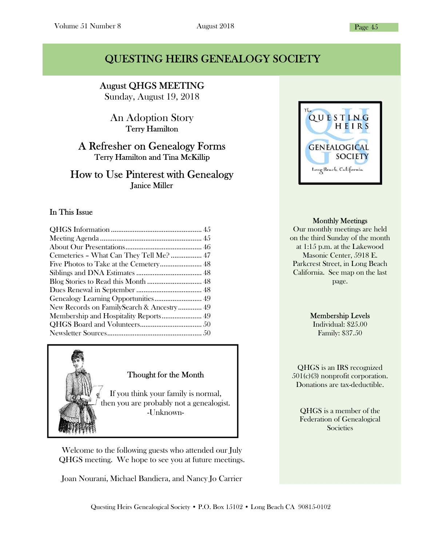### QUESTING HEIRS GENEALOGY SOCIETY

I August QHGS MEETING

Sunday, August 19, 2018

An Adoption Story Terry Hamilton

### A Refresher on Genealogy Forms Terry Hamilton and Tina McKillip

#### How to Use Pinterest with Genealogy Janice Miller

#### In This Issue

| Cemeteries - What Can They Tell Me?  47   |
|-------------------------------------------|
|                                           |
|                                           |
|                                           |
|                                           |
| Genealogy Learning Opportunities 49       |
| New Records on FamilySearch & Ancestry 49 |
|                                           |
|                                           |
|                                           |



Welcome to the following guests who attended our July QHGS meeting. We hope to see you at future meetings.

Joan Nourani, Michael Bandiera, and Nancy Jo Carrier



#### Monthly Meetings

Our monthly meetings are held on the third Sunday of the month at 1:15 p.m. at the Lakewood Masonic Center, 5918 E. Parkcrest Street, in Long Beach California. See map on the last page.

#### Membership Levels

Individual: \$25.00 Family: \$37.50

QHGS is an IRS recognized 501(c)(3) nonprofit corporation. Donations are tax-deductible.

QHGS is a member of the Federation of Genealogical **Societies**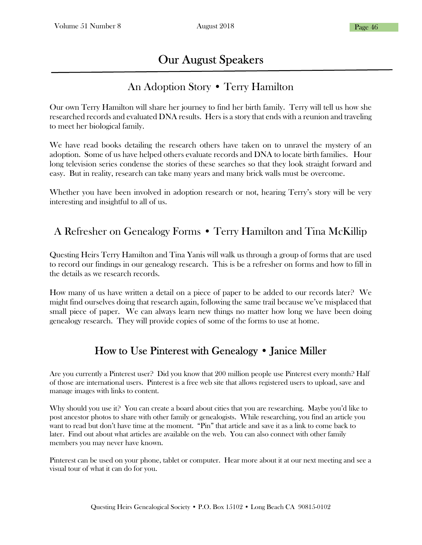# Our August Speakers

### İ An Adoption Story • Terry Hamilton

Our own Terry Hamilton will share her journey to find her birth family. Terry will tell us how she researched records and evaluated DNA results. Hers is a story that ends with a reunion and traveling to meet her biological family.

We have read books detailing the research others have taken on to unravel the mystery of an adoption. Some of us have helped others evaluate records and DNA to locate birth families. Hour long television series condense the stories of these searches so that they look straight forward and easy. But in reality, research can take many years and many brick walls must be overcome.

Whether you have been involved in adoption research or not, hearing Terry's story will be very interesting and insightful to all of us.

# A Refresher on Genealogy Forms • Terry Hamilton and Tina McKillip

Questing Heirs Terry Hamilton and Tina Yanis will walk us through a group of forms that are used to record our findings in our genealogy research. This is be a refresher on forms and how to fill in the details as we research records.

How many of us have written a detail on a piece of paper to be added to our records later? We might find ourselves doing that research again, following the same trail because we've misplaced that small piece of paper. We can always learn new things no matter how long we have been doing genealogy research. They will provide copies of some of the forms to use at home.

## How to Use Pinterest with Genealogy • Janice Miller

Are you currently a Pinterest user? Did you know that 200 million people use Pinterest every month? Half of those are international users. Pinterest is a free web site that allows registered users to upload, save and manage images with links to content.

Why should you use it? You can create a board about cities that you are researching. Maybe you'd like to post ancestor photos to share with other family or genealogists. While researching, you find an article you want to read but don't have time at the moment. "Pin" that article and save it as a link to come back to later. Find out about what articles are available on the web. You can also connect with other family members you may never have known.

Pinterest can be used on your phone, tablet or computer. Hear more about it at our next meeting and see a visual tour of what it can do for you.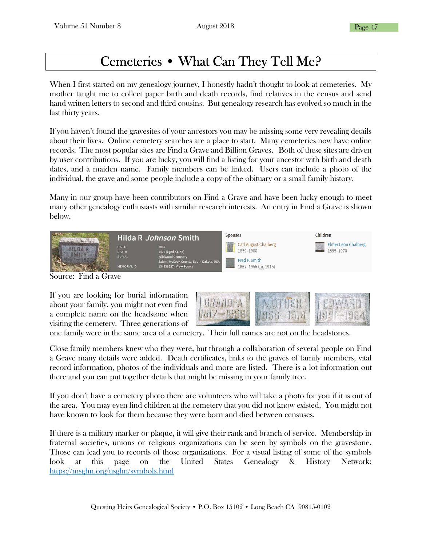# Cemeteries • What Can They Tell Me?

When I first started on my genealogy journey, I honestly hadn't thought to look at cemeteries. My mother taught me to collect paper birth and death records, find relatives in the census and send hand written letters to second and third cousins. But genealogy research has evolved so much in the last thirty years.

If you haven't found the gravesites of your ancestors you may be missing some very revealing details about their lives. Online cemetery searches are a place to start. Many cemeteries now have online records. The most popular sites are Find a Grave and Billion Graves. Both of these sites are driven by user contributions. If you are lucky, you will find a listing for your ancestor with birth and death dates, and a maiden name. Family members can be linked. Users can include a photo of the individual, the grave and some people include a copy of the obituary or a small family history.

Many in our group have been contributors on Find a Grave and have been lucky enough to meet many other genealogy enthusiasts with similar research interests. An entry in Find a Grave is shown below.

|                        | Hilda R Johnson Smith                                               |                                                                                                                             | <b>Spouses</b> |                                                                                  | Children                         |  |
|------------------------|---------------------------------------------------------------------|-----------------------------------------------------------------------------------------------------------------------------|----------------|----------------------------------------------------------------------------------|----------------------------------|--|
|                        | <b>BIRTH</b><br><b>DEATH</b><br><b>BURIAL</b><br><b>MEMORIAL ID</b> | 1867<br>1922 (aged 54-55)<br><b>Wildwood Cemetery</b><br>Salem, McCook County, South Dakota, USA<br>134636237 · View Source |                | <b>Carl August Chalberg</b><br>1859-1900<br>Fred F. Smith<br>1867-1955 (m. 1915) | Elmer Leon Chalberg<br>1895-1970 |  |
| ┳.<br>$\sim$<br>$\sim$ |                                                                     |                                                                                                                             |                |                                                                                  |                                  |  |

Source: Find a Grave

If you are looking for burial information about your family, you might not even find a complete name on the headstone when visiting the cemetery. Three generations of



one family were in the same area of a cemetery. Their full names are not on the headstones.

Close family members knew who they were, but through a collaboration of several people on Find a Grave many details were added. Death certificates, links to the graves of family members, vital record information, photos of the individuals and more are listed. There is a lot information out there and you can put together details that might be missing in your family tree.

If you don't have a cemetery photo there are volunteers who will take a photo for you if it is out of the area. You may even find children at the cemetery that you did not know existed. You might not have known to look for them because they were born and died between censuses.

If there is a military marker or plaque, it will give their rank and branch of service. Membership in fraternal societies, unions or religious organizations can be seen by symbols on the gravestone. Those can lead you to records of those organizations. For a visual listing of some of the symbols look at this page on the United States Genealogy & History Network: https://msghn.org/usghn/symbols.html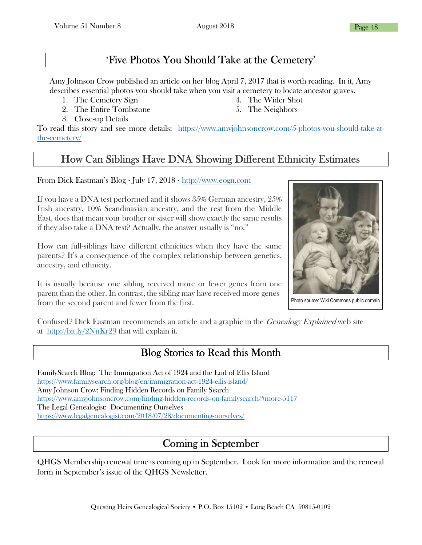### 'Five Photos You Should Take at the Cemetery'

Amy Johnson Crow published an article on her blog April 7, 2017 that is worth reading. In it, Amy describes essential photos you should take when you visit a cemetery to locate ancestor graves.

- 1. The Cemetery Sign
- 2. The Entire Tombstone
- 3. Close-up Details
- 4. The Wider Shot 5. The Neighbors
- To read this story and see more details: https://www.amyjohnsoncrow.com/5-photos-you-should-take-atthe-cemetery/

# How Can Siblings Have DNA Showing Different Ethnicity Estimates

From Dick Eastman's Blog · July 17,  $2018 \cdot \frac{http://www.eogn.com}{http://www.eogn.com}$ 

If you have a DNA test performed and it shows 35% German ancestry, 25% Irish ancestry, 10% Scandinavian ancestry, and the rest from the Middle East, does that mean your brother or sister will show exactly the same results if they also take a DNA test? Actually, the answer usually is "no."

How can full-siblings have different ethnicities when they have the same parents? It's a consequence of the complex relationship between genetics, ancestry, and ethnicity.

It is usually because one sibling received more or fewer genes from one parent than the other. In contrast, the sibling may have received more genes from the second parent and fewer from the first.



Photo source: Wiki Commons public domain

Confused? Dick Eastman recommends an article and a graphic in the *Genealogy Explained* web site at http://bit.ly/2NnKr29 that will explain it.

### Blog Stories to Read this Month

FamilySearch Blog: The Immigration Act of 1924 and the End of Ellis Island https://www.familysearch.org/blog/en/immigration-act-1924-ellis-island/ Amy Johnson Crow: Finding Hidden Records on Family Search https://www.amyjohnsoncrow.com/finding-hidden-records-on-familysearch/#more-5117 The Legal Genealogist: Documenting Ourselves https://www.legalgenealogist.com/2018/07/28/documenting-ourselves/

# Coming in September

QHGS Membership renewal time is coming up in September. Look for more information and the renewal form in September's issue of the QHGS Newsletter.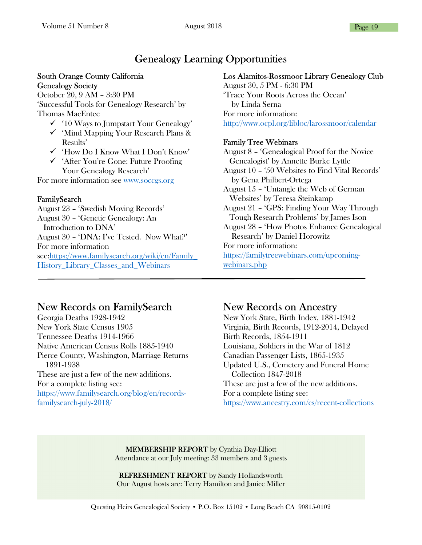### Genealogy Learning Opportunities

#### South Orange County California Genealogy Society

October 20, 9 AM – 3:30 PM 'Successful Tools for Genealogy Research' by Thomas MacEntee

- $\checkmark$  '10 Ways to Jumpstart Your Genealogy'
- $\checkmark$  'Mind Mapping Your Research Plans & Results'
- 'How Do I Know What I Don't Know'
- 'After You're Gone: Future Proofing Your Genealogy Research'

For more information see www.soccgs.org

#### FamilySearch

August 23 – 'Swedish Moving Records' August 30 – 'Genetic Genealogy: An Introduction to DNA' August 30 – 'DNA: I've Tested. Now What?' For more information see:https://www.familysearch.org/wiki/en/Family\_ History Library Classes and Webinars

#### Los Alamitos-Rossmoor Library Genealogy Club

August 30, 5 PM - 6:30 PM 'Trace Your Roots Across the Ocean' by Linda Serna For more information: http://www.ocpl.org/libloc/larossmoor/calendar

#### Family Tree Webinars

August 8 – 'Genealogical Proof for the Novice Genealogist' by Annette Burke Lyttle August 10 – '50 Websites to Find Vital Records' by Gena Philbert-Ortega August 15 – 'Untangle the Web of German Websites' by Teresa Steinkamp August 21 – 'GPS: Finding Your Way Through Tough Research Problems' by James Ison August 28 – 'How Photos Enhance Genealogical Research' by Daniel Horowitz For more information: https://familytreewebinars.com/upcomingwebinars.php

### New Records on FamilySearch

Georgia Deaths 1928-1942 New York State Census 1905 Tennessee Deaths 1914-1966 Native American Census Rolls 1885-1940 Pierce County, Washington, Marriage Returns 1891-1938 These are just a few of the new additions. For a complete listing see: https://www.familysearch.org/blog/en/recordsfamilysearch-july-2018/

## New Records on Ancestry

New York State, Birth Index, 1881-1942 Virginia, Birth Records, 1912-2014, Delayed Birth Records, 1854-1911 Louisiana, Soldiers in the War of 1812 Canadian Passenger Lists, 1865-1935 Updated U.S., Cemetery and Funeral Home Collection 1847-2018 These are just a few of the new additions. For a complete listing see: https://www.ancestry.com/cs/recent-collections

MEMBERSHIP REPORT by Cynthia Day-Elliott Attendance at our July meeting: 33 members and 3 guests

REFRESHMENT REPORT by Sandy Hollandsworth Our August hosts are: Terry Hamilton and Janice Miller